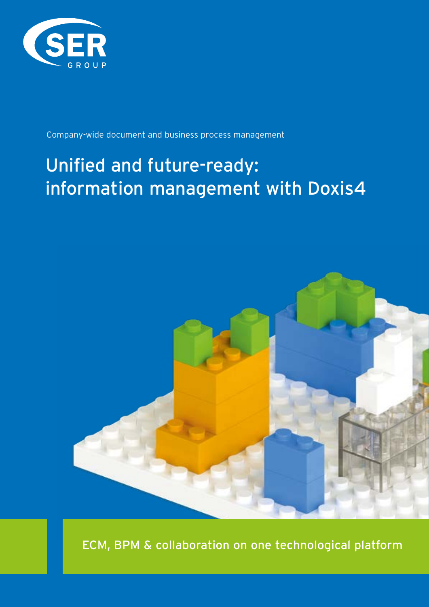

Company-wide document and business process management

# Unified and future-ready: information management with Doxis4



ECM, BPM & collaboration on one technological platform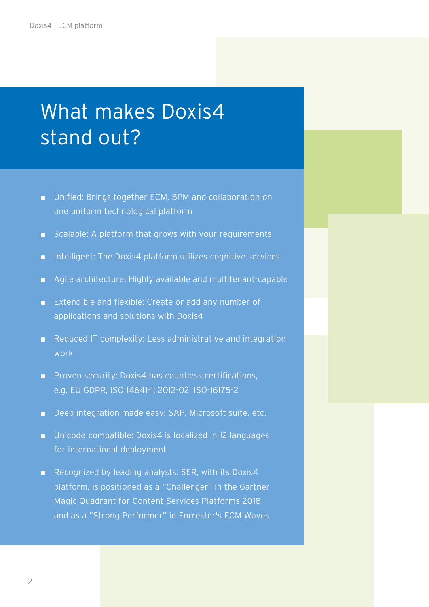# What makes Doxis4 stand out?

- Unified: Brings together ECM, BPM and collaboration on one uniform technological platform
- Scalable: A platform that grows with your requirements
- Intelligent: The Doxis4 platform utilizes cognitive services
- Agile architecture: Highly available and multitenant-capable
- Extendible and flexible: Create or add any number of applications and solutions with Doxis4
- Reduced IT complexity: Less administrative and integration work
- Proven security: Doxis4 has countless certifications, e.g. EU GDPR, ISO 14641-1: 2012-02, ISO-16175-2
- Deep integration made easy: SAP, Microsoft suite, etc.
- Unicode-compatible: Doxis4 is localized in 12 languages for international deployment
- Recognized by leading analysts: SER, with its Doxis4 platform, is positioned as a "Challenger" in the Gartner Magic Quadrant for Content Services Platforms 2018 and as a "Strong Performer" in Forrester's ECM Waves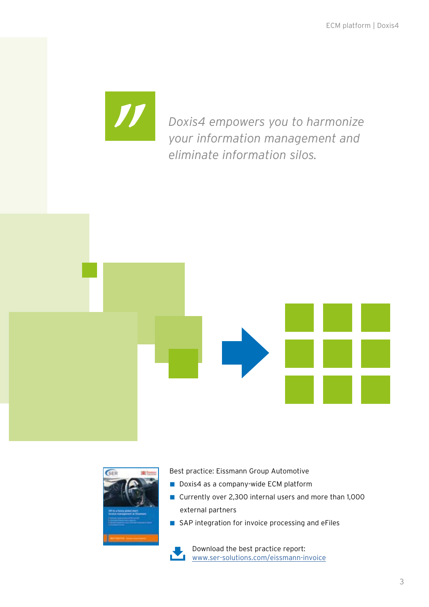

*Doxis4 empowers you to harmonize your information management and eliminate information silos.*





Best practice: Eissmann Group Automotive

- Doxis4 as a company-wide ECM platform
- Currently over 2,300 internal users and more than 1,000 external partners
- SAP integration for invoice processing and eFiles



 Download the best practice report: [www.ser-solutions.com/eissmann-invoice](http://www.ser-solutions.com/eissmann-invoice)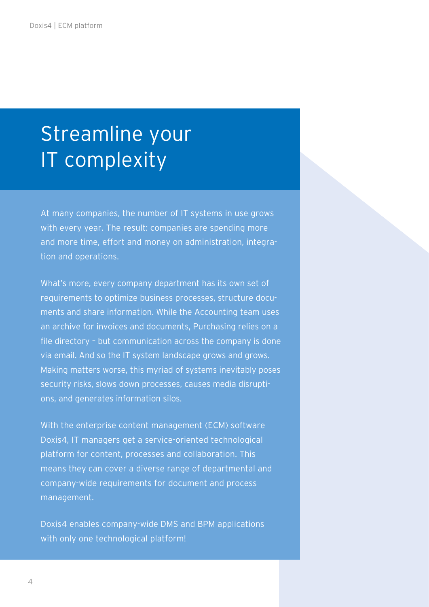# Streamline your IT complexity

At many companies, the number of IT systems in use grows with every year. The result: companies are spending more and more time, effort and money on administration, integration and operations.

What's more, every company department has its own set of requirements to optimize business processes, structure documents and share information. While the Accounting team uses an archive for invoices and documents, Purchasing relies on a file directory – but communication across the company is done via email. And so the IT system landscape grows and grows. Making matters worse, this myriad of systems inevitably poses security risks, slows down processes, causes media disruptions, and generates information silos.

With the enterprise content management (ECM) software Doxis4, IT managers get a service-oriented technological platform for content, processes and collaboration. This means they can cover a diverse range of departmental and company-wide requirements for document and process management.

Doxis4 enables company-wide DMS and BPM applications with only one technological platform!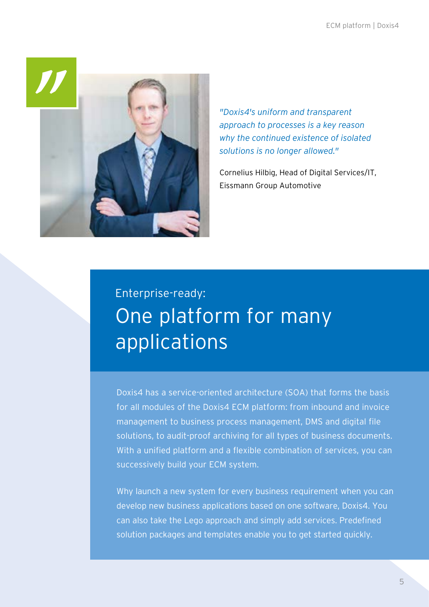

*"Doxis4's uniform and transparent approach to processes is a key reason why the continued existence of isolated solutions is no longer allowed."*

Cornelius Hilbig, Head of Digital Services/IT, Eissmann Group Automotive

## Enterprise-ready: One platform for many applications

Doxis4 has a service-oriented architecture (SOA) that forms the basis for all modules of the Doxis4 ECM platform: from inbound and invoice management to business process management, DMS and digital file solutions, to audit-proof archiving for all types of business documents. With a unified platform and a flexible combination of services, you can successively build your ECM system.

Why launch a new system for every business requirement when you can develop new business applications based on one software, Doxis4. You can also take the Lego approach and simply add services. Predefined solution packages and templates enable you to get started quickly.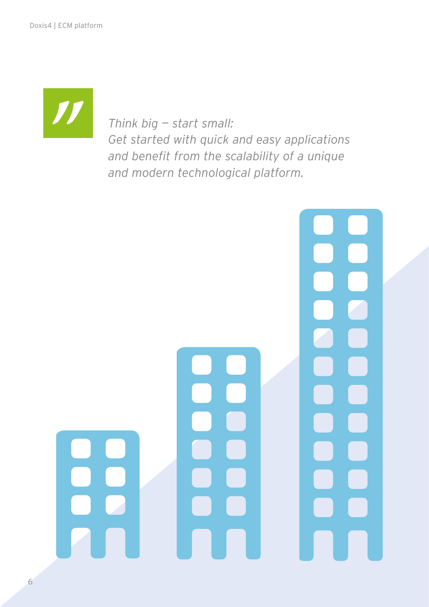

*Think big — start small: Get started with quick and easy applications and benefit from the scalability of a unique and modern technological platform.*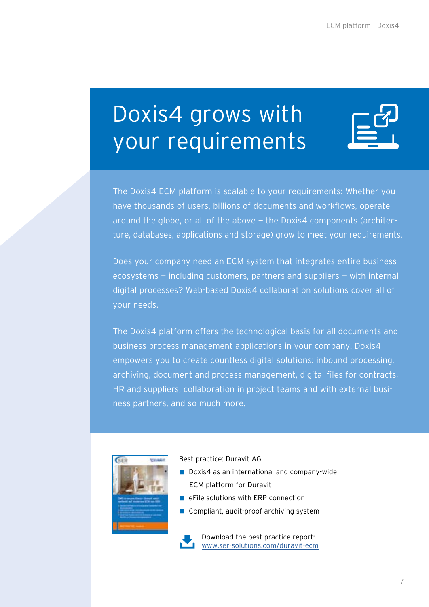# Doxis4 grows with your requirements



The Doxis4 ECM platform is scalable to your requirements: Whether you have thousands of users, billions of documents and workflows, operate around the globe, or all of the above - the Doxis4 components (architecture, databases, applications and storage) grow to meet your requirements.

Does your company need an ECM system that integrates entire business ecosystems — including customers, partners and suppliers — with internal digital processes? Web-based Doxis4 collaboration solutions cover all of your needs.

The Doxis4 platform offers the technological basis for all documents and business process management applications in your company. Doxis4 empowers you to create countless digital solutions: inbound processing, archiving, document and process management, digital files for contracts, HR and suppliers, collaboration in project teams and with external business partners, and so much more.



Best practice: Duravit AG

- Doxis4 as an international and company-wide ECM platform for Duravit
- **E** eFile solutions with ERP connection
- Compliant, audit-proof archiving system



 Download the best practice report: [www.ser-solutions.com/duravit-ecm](http://www.ser-solutions.com/duravit-ecm)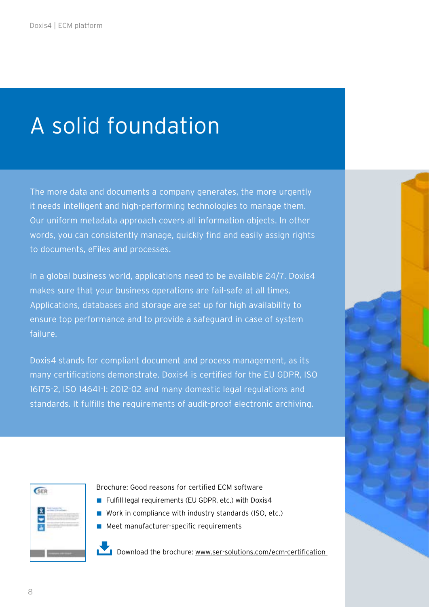# A solid foundation

The more data and documents a company generates, the more urgently it needs intelligent and high-performing technologies to manage them. Our uniform metadata approach covers all information objects. In other words, you can consistently manage, quickly find and easily assign rights to documents, eFiles and processes.

In a global business world, applications need to be available 24/7. Doxis4 makes sure that your business operations are fail-safe at all times. Applications, databases and storage are set up for high availability to ensure top performance and to provide a safeguard in case of system failure.

Doxis4 stands for compliant document and process management, as its many certifications demonstrate. Doxis4 is certified for the EU GDPR, ISO 16175-2, ISO 14641-1: 2012-02 and many domestic legal regulations and standards. It fulfills the requirements of audit-proof electronic archiving.



Brochure: Good reasons for certified ECM software

- Fulfill legal requirements (EU GDPR, etc.) with Doxis4
- Work in compliance with industry standards (ISO, etc.)
- Meet manufacturer-specific requirements

Download the brochure: www.ser-solutions.com/ecm-certification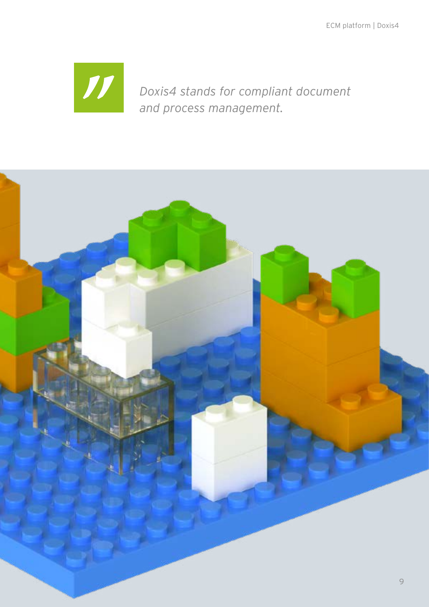

*Doxis4 stands for compliant document and process management.*

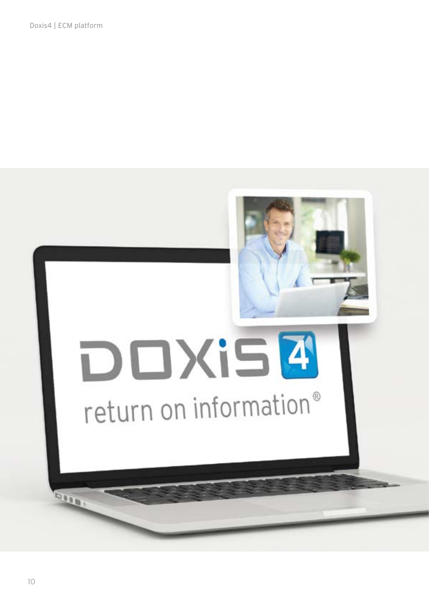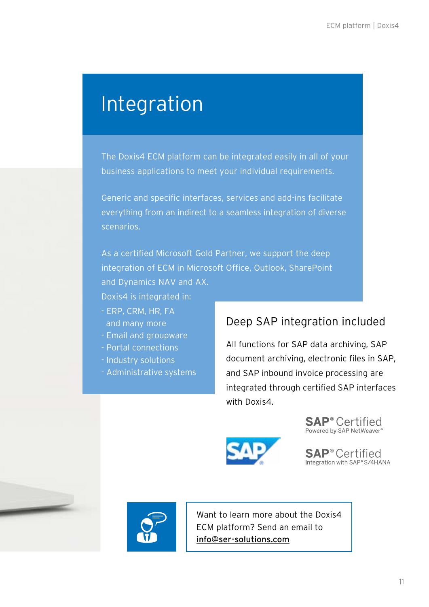### Integration

The Doxis4 ECM platform can be integrated easily in all of your business applications to meet your individual requirements.

Generic and specific interfaces, services and add-ins facilitate everything from an indirect to a seamless integration of diverse scenarios.

As a certified Microsoft Gold Partner, we support the deep integration of ECM in Microsoft Office, Outlook, SharePoint and Dynamics NAV and AX.

Doxis4 is integrated in:

- ERP, CRM, HR, FA and many more
- Email and groupware
- Portal connections
- Industry solutions
- Administrative systems

### Deep SAP integration included

All functions for SAP data archiving, SAP document archiving, electronic files in SAP, and SAP inbound invoice processing are integrated through certified SAP interfaces with Doxis4.

**SAP**<sup>®</sup> Certified Powered by SAP NetWeaver®

**SAP**<sup>®</sup> Certified Integration with SAP<sup>®</sup> S/4HANA



Want to learn more about the Doxis4 ECM platform? Send an email to info@ser-solutions.com